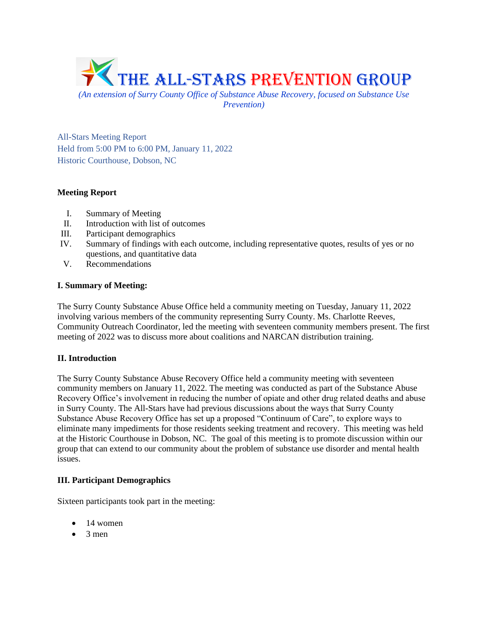

*Prevention)*

All-Stars Meeting Report Held from 5:00 PM to 6:00 PM, January 11, 2022 Historic Courthouse, Dobson, NC

# **Meeting Report**

- I. Summary of Meeting
- II. Introduction with list of outcomes
- III. Participant demographics
- IV. Summary of findings with each outcome, including representative quotes, results of yes or no questions, and quantitative data
- V. Recommendations

# **I. Summary of Meeting:**

The Surry County Substance Abuse Office held a community meeting on Tuesday, January 11, 2022 involving various members of the community representing Surry County. Ms. Charlotte Reeves, Community Outreach Coordinator, led the meeting with seventeen community members present. The first meeting of 2022 was to discuss more about coalitions and NARCAN distribution training.

# **II. Introduction**

The Surry County Substance Abuse Recovery Office held a community meeting with seventeen community members on January 11, 2022. The meeting was conducted as part of the Substance Abuse Recovery Office's involvement in reducing the number of opiate and other drug related deaths and abuse in Surry County. The All-Stars have had previous discussions about the ways that Surry County Substance Abuse Recovery Office has set up a proposed "Continuum of Care", to explore ways to eliminate many impediments for those residents seeking treatment and recovery. This meeting was held at the Historic Courthouse in Dobson, NC. The goal of this meeting is to promote discussion within our group that can extend to our community about the problem of substance use disorder and mental health issues.

# **III. Participant Demographics**

Sixteen participants took part in the meeting:

- 14 women
- $\bullet$  3 men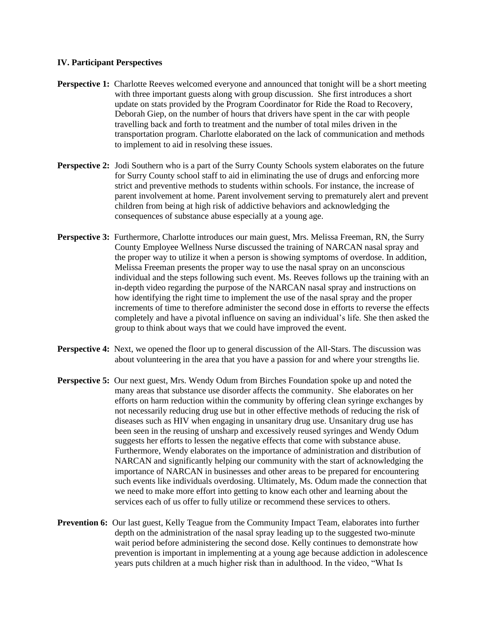### **IV. Participant Perspectives**

- **Perspective 1:** Charlotte Reeves welcomed everyone and announced that tonight will be a short meeting with three important guests along with group discussion. She first introduces a short update on stats provided by the Program Coordinator for Ride the Road to Recovery, Deborah Giep, on the number of hours that drivers have spent in the car with people travelling back and forth to treatment and the number of total miles driven in the transportation program. Charlotte elaborated on the lack of communication and methods to implement to aid in resolving these issues.
- **Perspective 2:** Jodi Southern who is a part of the Surry County Schools system elaborates on the future for Surry County school staff to aid in eliminating the use of drugs and enforcing more strict and preventive methods to students within schools. For instance, the increase of parent involvement at home. Parent involvement serving to prematurely alert and prevent children from being at high risk of addictive behaviors and acknowledging the consequences of substance abuse especially at a young age.
- **Perspective 3:** Furthermore, Charlotte introduces our main guest, Mrs. Melissa Freeman, RN, the Surry County Employee Wellness Nurse discussed the training of NARCAN nasal spray and the proper way to utilize it when a person is showing symptoms of overdose. In addition, Melissa Freeman presents the proper way to use the nasal spray on an unconscious individual and the steps following such event. Ms. Reeves follows up the training with an in-depth video regarding the purpose of the NARCAN nasal spray and instructions on how identifying the right time to implement the use of the nasal spray and the proper increments of time to therefore administer the second dose in efforts to reverse the effects completely and have a pivotal influence on saving an individual's life. She then asked the group to think about ways that we could have improved the event.
- **Perspective 4:** Next, we opened the floor up to general discussion of the All-Stars. The discussion was about volunteering in the area that you have a passion for and where your strengths lie.
- **Perspective 5:** Our next guest, Mrs. Wendy Odum from Birches Foundation spoke up and noted the many areas that substance use disorder affects the community. She elaborates on her efforts on harm reduction within the community by offering clean syringe exchanges by not necessarily reducing drug use but in other effective methods of reducing the risk of diseases such as HIV when engaging in unsanitary drug use. Unsanitary drug use has been seen in the reusing of unsharp and excessively reused syringes and Wendy Odum suggests her efforts to lessen the negative effects that come with substance abuse. Furthermore, Wendy elaborates on the importance of administration and distribution of NARCAN and significantly helping our community with the start of acknowledging the importance of NARCAN in businesses and other areas to be prepared for encountering such events like individuals overdosing. Ultimately, Ms. Odum made the connection that we need to make more effort into getting to know each other and learning about the services each of us offer to fully utilize or recommend these services to others.
- **Prevention 6:** Our last guest, Kelly Teague from the Community Impact Team, elaborates into further depth on the administration of the nasal spray leading up to the suggested two-minute wait period before administering the second dose. Kelly continues to demonstrate how prevention is important in implementing at a young age because addiction in adolescence years puts children at a much higher risk than in adulthood. In the video, "What Is